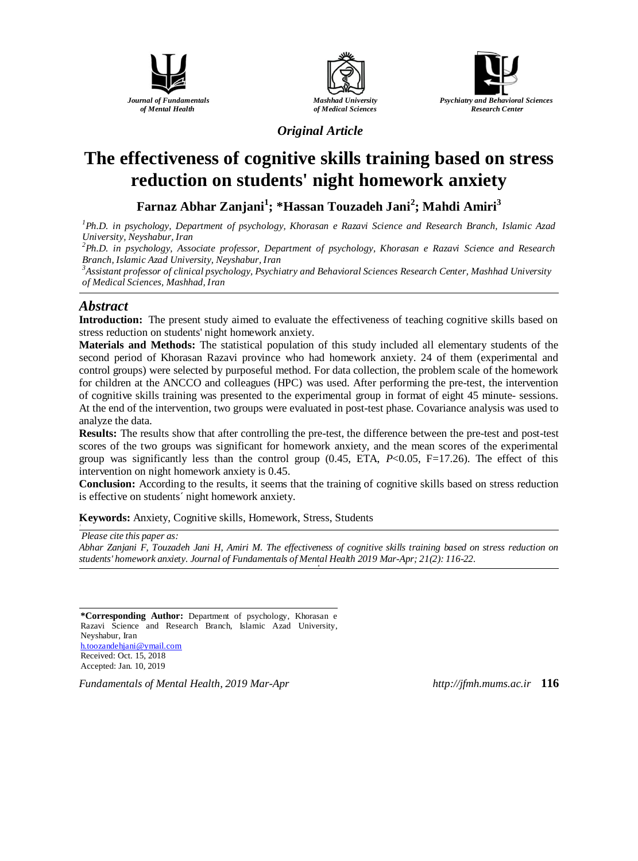





*Original Article*

# **The effectiveness of cognitive skills training based on stress reduction on students' night homework anxiety**

**Farnaz Abhar Zanjani<sup>1</sup> ; \*Hassan Touzadeh Jani<sup>2</sup> ; Mahdi Amiri<sup>3</sup>**

*<sup>1</sup>Ph.D. in psychology, Department of psychology, Khorasan e Razavi Science and Research Branch, Islamic Azad University, Neyshabur, Iran*

*<sup>2</sup>Ph.D. in psychology, Associate professor, Department of psychology, Khorasan e Razavi Science and Research Branch, Islamic Azad University, Neyshabur, Iran*

*<sup>3</sup>Assistant professor of clinical psychology, Psychiatry and Behavioral Sciences Research Center, Mashhad University of Medical Sciences, Mashhad, Iran*

## *Abstract*

**Introduction:** The present study aimed to evaluate the effectiveness of teaching cognitive skills based on stress reduction on students' night homework anxiety.

**Materials and Methods:** The statistical population of this study included all elementary students of the second period of Khorasan Razavi province who had homework anxiety. 24 of them (experimental and control groups) were selected by purposeful method. For data collection, the problem scale of the homework for children at the ANCCO and colleagues (HPC) was used. After performing the pre-test, the intervention of cognitive skills training was presented to the experimental group in format of eight 45 minute- sessions. At the end of the intervention, two groups were evaluated in post-test phase. Covariance analysis was used to analyze the data.

**Results:** The results show that after controlling the pre-test, the difference between the pre-test and post-test scores of the two groups was significant for homework anxiety, and the mean scores of the experimental group was significantly less than the control group (0.45, ETA, *P*<0.05, F=17.26). The effect of this intervention on night homework anxiety is 0.45.

**Conclusion:** According to the results, it seems that the training of cognitive skills based on stress reduction is effective on students´ night homework anxiety.

**Keywords:** Anxiety, Cognitive skills, Homework, Stress, Students

*Please cite this paper as:* 

*Abhar Zanjani F, Touzadeh Jani H, Amiri M. The effectiveness of cognitive skills training based on stress reduction on students' homework anxiety. Journal of Fundamentals of Mental Health 2019 Mar-Apr; 21(2): 116-22. o*

**\*Corresponding Author:** Department of psychology, Khorasan e Razavi Science and Research Branch, Islamic Azad University, Neyshabur, Iran h.toozandehjani@ymail.com Received: Oct. 15, 2018 Accepted: Jan. 10, 2019

*Fundamentals of Mental Health, 2019 Mar-Apr http://jfmh.mums.ac.ir* **116**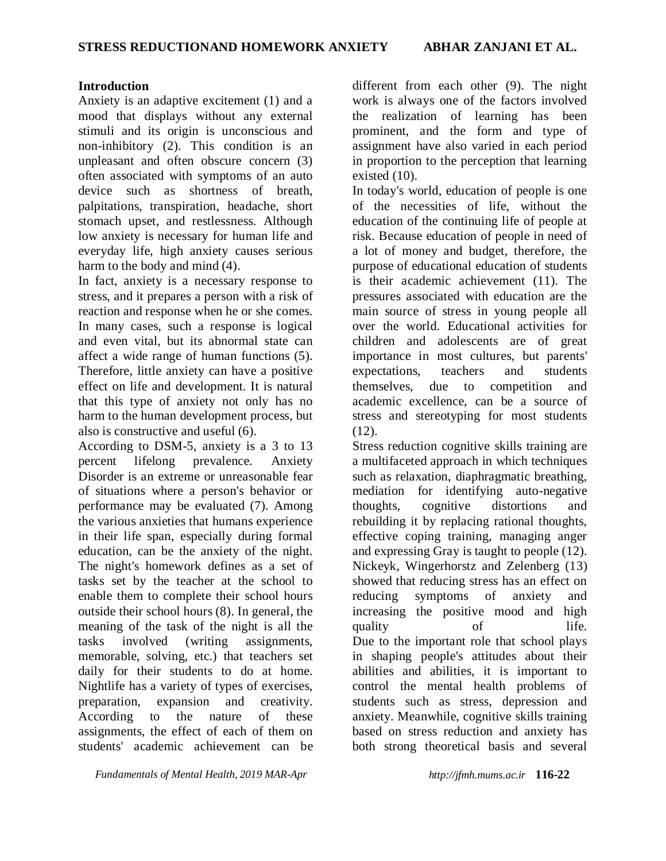## **Introduction**

Anxiety is an adaptive excitement (1) and a mood that displays without any external stimuli and its origin is unconscious and non-inhibitory (2). This condition is an unpleasant and often obscure concern (3) often associated with symptoms of an auto device such as shortness of breath, palpitations, transpiration, headache, short stomach upset, and restlessness. Although low anxiety is necessary for human life and everyday life, high anxiety causes serious harm to the body and mind (4).

In fact, anxiety is a necessary response to stress, and it prepares a person with a risk of reaction and response when he or she comes. In many cases, such a response is logical and even vital, but its abnormal state can affect a wide range of human functions (5). Therefore, little anxiety can have a positive effect on life and development. It is natural that this type of anxiety not only has no harm to the human development process, but also is constructive and useful (6).

According to DSM-5, anxiety is a 3 to 13 percent lifelong prevalence. Anxiety Disorder is an extreme or unreasonable fear of situations where a person's behavior or performance may be evaluated (7). Among the various anxieties that humans experience in their life span, especially during formal education, can be the anxiety of the night. The night's homework defines as a set of tasks set by the teacher at the school to enable them to complete their school hours outside their school hours (8). In general, the meaning of the task of the night is all the tasks involved (writing assignments, memorable, solving, etc.) that teachers set daily for their students to do at home. Nightlife has a variety of types of exercises, preparation, expansion and creativity. According to the nature of these assignments, the effect of each of them on students' academic achievement can be

*Fundamentals of Mental Health, 2019 MAR-Apr http://jfmh.mums.ac.ir* **116-22**

different from each other (9). The night work is always one of the factors involved the realization of learning has been prominent, and the form and type of assignment have also varied in each period in proportion to the perception that learning existed (10).

In today's world, education of people is one of the necessities of life, without the education of the continuing life of people at risk. Because education of people in need of a lot of money and budget, therefore, the purpose of educational education of students is their academic achievement (11). The pressures associated with education are the main source of stress in young people all over the world. Educational activities for children and adolescents are of great importance in most cultures, but parents' expectations, teachers and students themselves, due to competition and academic excellence, can be a source of stress and stereotyping for most students  $(12)$ .

Stress reduction cognitive skills training are a multifaceted approach in which techniques such as relaxation, diaphragmatic breathing, mediation for identifying auto-negative thoughts, cognitive distortions and rebuilding it by replacing rational thoughts, effective coping training, managing anger and expressing Gray is taught to people (12). Nickeyk, Wingerhorstz and Zelenberg (13) showed that reducing stress has an effect on reducing symptoms of anxiety and increasing the positive mood and high quality of life. Due to the important role that school plays in shaping people's attitudes about their abilities and abilities, it is important to control the mental health problems of students such as stress, depression and anxiety. Meanwhile, cognitive skills training based on stress reduction and anxiety has both strong theoretical basis and several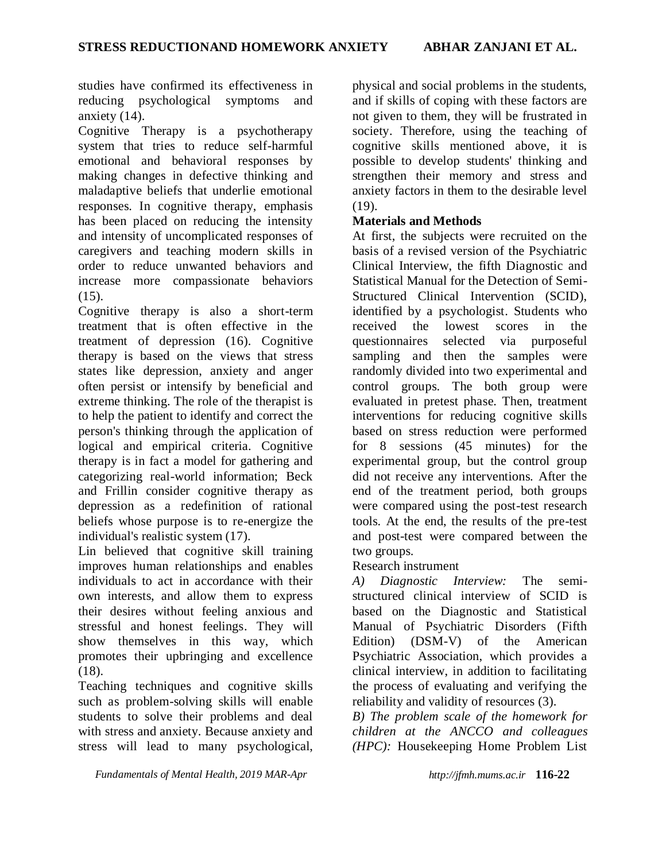studies have confirmed its effectiveness in reducing psychological symptoms and anxiety (14).

Cognitive Therapy is a psychotherapy system that tries to reduce self-harmful emotional and behavioral responses by making changes in defective thinking and maladaptive beliefs that underlie emotional responses. In cognitive therapy, emphasis has been placed on reducing the intensity and intensity of uncomplicated responses of caregivers and teaching modern skills in order to reduce unwanted behaviors and increase more compassionate behaviors  $(15)$ .

Cognitive therapy is also a short-term treatment that is often effective in the treatment of depression (16). Cognitive therapy is based on the views that stress states like depression, anxiety and anger often persist or intensify by beneficial and extreme thinking. The role of the therapist is to help the patient to identify and correct the person's thinking through the application of logical and empirical criteria. Cognitive therapy is in fact a model for gathering and categorizing real-world information; Beck and Frillin consider cognitive therapy as depression as a redefinition of rational beliefs whose purpose is to re-energize the individual's realistic system (17).

Lin believed that cognitive skill training improves human relationships and enables individuals to act in accordance with their own interests, and allow them to express their desires without feeling anxious and stressful and honest feelings. They will show themselves in this way, which promotes their upbringing and excellence (18).

Teaching techniques and cognitive skills such as problem-solving skills will enable students to solve their problems and deal with stress and anxiety. Because anxiety and stress will lead to many psychological, physical and social problems in the students, and if skills of coping with these factors are not given to them, they will be frustrated in society. Therefore, using the teaching of cognitive skills mentioned above, it is possible to develop students' thinking and strengthen their memory and stress and anxiety factors in them to the desirable level  $(19)$ .

## **Materials and Methods**

At first, the subjects were recruited on the basis of a revised version of the Psychiatric Clinical Interview, the fifth Diagnostic and Statistical Manual for the Detection of Semi-Structured Clinical Intervention (SCID), identified by a psychologist. Students who received the lowest scores in the questionnaires selected via purposeful sampling and then the samples were randomly divided into two experimental and control groups. The both group were evaluated in pretest phase. Then, treatment interventions for reducing cognitive skills based on stress reduction were performed for 8 sessions (45 minutes) for the experimental group, but the control group did not receive any interventions. After the end of the treatment period, both groups were compared using the post-test research tools. At the end, the results of the pre-test and post-test were compared between the two groups.

## Research instrument

*A) Diagnostic Interview:* The semistructured clinical interview of SCID is based on the Diagnostic and Statistical Manual of Psychiatric Disorders (Fifth Edition) (DSM-V) of the American Psychiatric Association, which provides a clinical interview, in addition to facilitating the process of evaluating and verifying the reliability and validity of resources (3).

*B) The problem scale of the homework for children at the ANCCO and colleagues (HPC):* Housekeeping Home Problem List

*Fundamentals of Mental Health, 2019 MAR-Apr http://jfmh.mums.ac.ir* **116-22**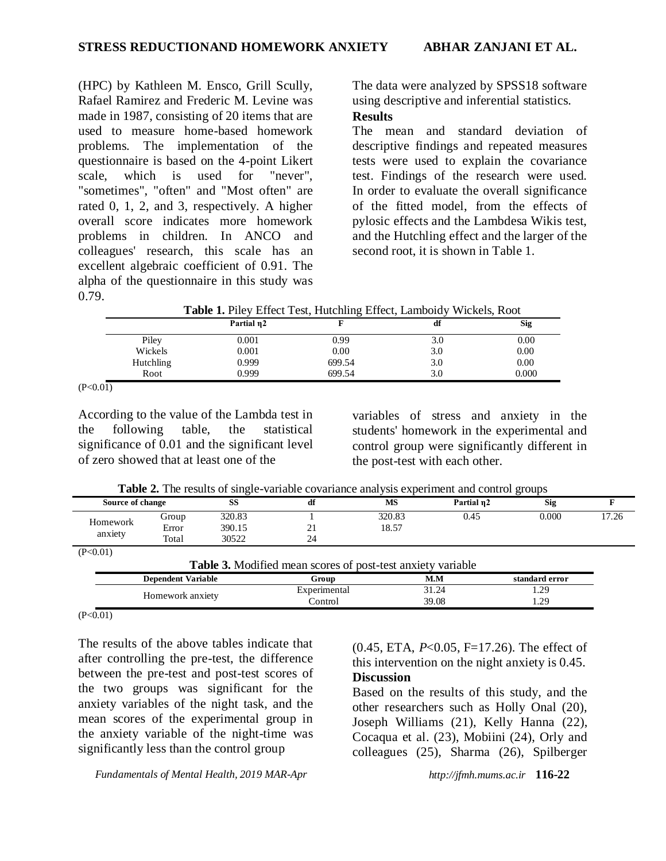(HPC) by Kathleen M. Ensco, Grill Scully, Rafael Ramirez and Frederic M. Levine was made in 1987, consisting of 20 items that are used to measure home-based homework problems. The implementation of the questionnaire is based on the 4-point Likert scale, which is used for "never", "sometimes", "often" and "Most often" are rated 0, 1, 2, and 3, respectively. A higher overall score indicates more homework problems in children. In ANCO and colleagues' research, this scale has an excellent algebraic coefficient of 0.91. The alpha of the questionnaire in this study was 0.79.

The data were analyzed by SPSS18 software using descriptive and inferential statistics.

# **Results**

The mean and standard deviation of descriptive findings and repeated measures tests were used to explain the covariance test. Findings of the research were used. In order to evaluate the overall significance of the fitted model, from the effects of pylosic effects and the Lambdesa Wikis test, and the Hutchling effect and the larger of the second root, it is shown in Table 1.

**Table 1.** Piley Effect Test, Hutchling Effect, Lamboidy Wickels, Root

|           | Partial n2 |        | df  | <b>Sig</b> |
|-----------|------------|--------|-----|------------|
| Piley     | 0.001      | 0.99   | 3.0 | 0.00       |
| Wickels   | 0.001      | 0.00   | 3.0 | 0.00       |
| Hutchling | 0.999      | 699.54 | 3.0 | 0.00       |
| Root      | 0.999      | 699.54 | 3.0 | 0.000      |

 $(P<0.01)$ 

According to the value of the Lambda test in the following table, the statistical significance of 0.01 and the significant level of zero showed that at least one of the

variables of stress and anxiety in the students' homework in the experimental and control group were significantly different in the post-test with each other.

**Table 2.** The results of single-variable covariance analysis experiment and control groups

| ---------        |       |        | ----------         | -----  |            | -----      |       |
|------------------|-------|--------|--------------------|--------|------------|------------|-------|
| Source of change |       | SS     | df                 | MS     | Partial n2 | <b>Sig</b> |       |
| Homework         | Group | 320.83 |                    | 320.83 | 0.45       | 0.000      | 17.26 |
|                  | Error | 390.15 | $\sim$<br>$\sim$ 1 | 18.57  |            |            |       |
| anxiety          | Total | 30522  | 24                 |        |            |            |       |
| ____             |       |        |                    |        |            |            |       |

 $(P<0.01)$ 

| <b>Table 3.</b> Modified mean scores of post-test anxiety variable |              |       |                |  |  |  |
|--------------------------------------------------------------------|--------------|-------|----------------|--|--|--|
| <b>Dependent Variable</b>                                          | Group        | M.M   | standard error |  |  |  |
|                                                                    | Experimental | 31.24 | 1.29           |  |  |  |
| Homework anxiety                                                   | Control      | 39.08 | .29            |  |  |  |

 $(P<0.01)$ 

The results of the above tables indicate that after controlling the pre-test, the difference between the pre-test and post-test scores of the two groups was significant for the anxiety variables of the night task, and the mean scores of the experimental group in the anxiety variable of the night-time was significantly less than the control group

*Fundamentals of Mental Health, 2019 MAR-Apr http://jfmh.mums.ac.ir* **116-22**

(0.45, ETA, *P*<0.05, F=17.26). The effect of this intervention on the night anxiety is 0.45. **Discussion**

Based on the results of this study, and the other researchers such as Holly Onal (20), Joseph Williams (21), Kelly Hanna (22), Cocaqua et al. (23), Mobiini (24), Orly and colleagues (25), Sharma (26), Spilberger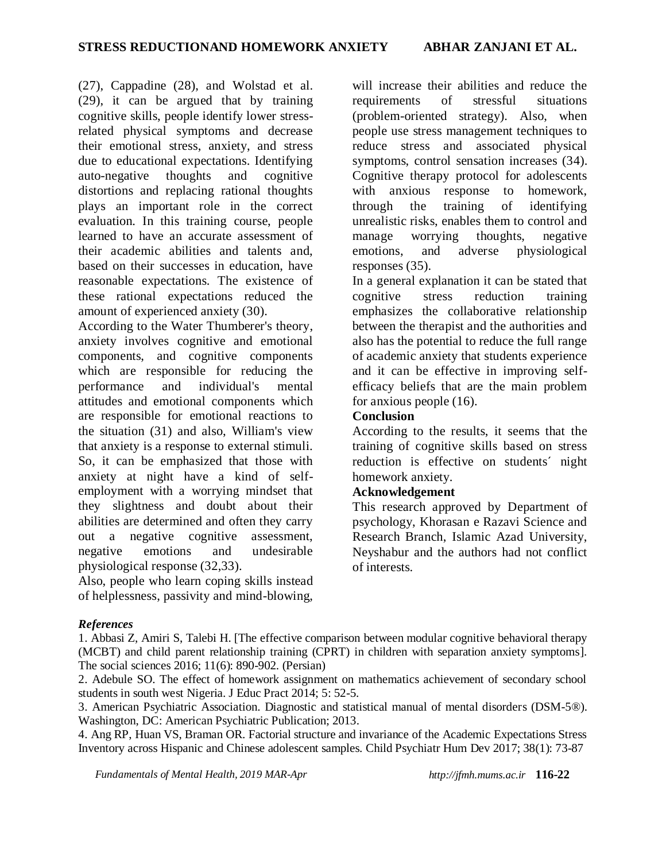(27), Cappadine (28), and Wolstad et al. (29), it can be argued that by training cognitive skills, people identify lower stressrelated physical symptoms and decrease their emotional stress, anxiety, and stress due to educational expectations. Identifying auto-negative thoughts and cognitive distortions and replacing rational thoughts plays an important role in the correct evaluation. In this training course, people learned to have an accurate assessment of their academic abilities and talents and, based on their successes in education, have reasonable expectations. The existence of these rational expectations reduced the amount of experienced anxiety (30).

According to the Water Thumberer's theory, anxiety involves cognitive and emotional components, and cognitive components which are responsible for reducing the performance and individual's mental attitudes and emotional components which are responsible for emotional reactions to the situation (31) and also, William's view that anxiety is a response to external stimuli. So, it can be emphasized that those with anxiety at night have a kind of selfemployment with a worrying mindset that they slightness and doubt about their abilities are determined and often they carry out a negative cognitive assessment, negative emotions and undesirable physiological response (32,33).

Also, people who learn coping skills instead of helplessness, passivity and mind-blowing,

will increase their abilities and reduce the requirements of stressful situations (problem-oriented strategy). Also, when people use stress management techniques to reduce stress and associated physical symptoms, control sensation increases (34). Cognitive therapy protocol for adolescents with anxious response to homework, through the training of identifying unrealistic risks, enables them to control and manage worrying thoughts, negative emotions, and adverse physiological responses (35).

In a general explanation it can be stated that cognitive stress reduction training emphasizes the collaborative relationship between the therapist and the authorities and also has the potential to reduce the full range of academic anxiety that students experience and it can be effective in improving selfefficacy beliefs that are the main problem for anxious people (16).

## **Conclusion**

According to the results, it seems that the training of cognitive skills based on stress reduction is effective on students´ night homework anxiety.

## **Acknowledgement**

This research approved by Department of psychology, Khorasan e Razavi Science and Research Branch, Islamic Azad University, Neyshabur and the authors had not conflict of interests.

## *References*

1. Abbasi Z, Amiri S, Talebi H. [The effective comparison between modular cognitive behavioral therapy (MCBT) and child parent relationship training (CPRT) in children with separation anxiety symptoms]. The social sciences 2016; 11(6): 890-902. (Persian)

2. Adebule SO. The effect of homework assignment on mathematics achievement of secondary school students in south west Nigeria. J Educ Pract 2014; 5: 52-5.

3. American Psychiatric Association. Diagnostic and statistical manual of mental disorders (DSM-5®). Washington, DC: American Psychiatric Publication; 2013.

4. Ang RP, Huan VS, Braman OR. Factorial structure and invariance of the Academic Expectations Stress Inventory across Hispanic and Chinese adolescent samples. Child Psychiatr Hum Dev 2017; 38(1): 73-87

*Fundamentals of Mental Health, 2019 MAR-Apr http://jfmh.mums.ac.ir* **116-22**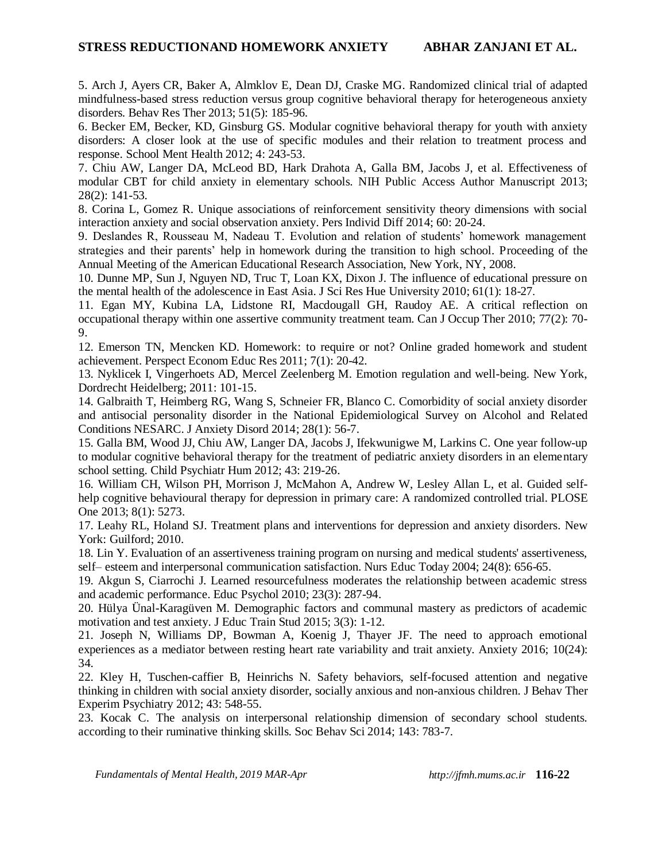5. Arch J, Ayers CR, Baker A, Almklov E, Dean DJ, Craske MG. Randomized clinical trial of adapted mindfulness-based stress reduction versus group cognitive behavioral therapy for heterogeneous anxiety disorders. Behav Res Ther 2013; 51(5): 185-96.

6. Becker EM, Becker, KD, Ginsburg GS. Modular cognitive behavioral therapy for youth with anxiety disorders: A closer look at the use of specific modules and their relation to treatment process and response. School Ment Health 2012; 4: 243-53.

7. Chiu AW, Langer DA, McLeod BD, Hark Drahota A, Galla BM, Jacobs J, et al. Effectiveness of modular CBT for child anxiety in elementary schools. NIH Public Access Author Manuscript 2013; 28(2): 141-53.

8. Corina L, Gomez R. Unique associations of reinforcement sensitivity theory dimensions with social interaction anxiety and social observation anxiety. Pers Individ Diff 2014; 60: 20-24.

9. Deslandes R, Rousseau M, Nadeau T. Evolution and relation of students' homework management strategies and their parents' help in homework during the transition to high school. Proceeding of the Annual Meeting of the American Educational Research Association, New York, NY, 2008.

10. Dunne MP, Sun J, Nguyen ND, Truc T, Loan KX, Dixon J. The influence of educational pressure on the mental health of the adolescence in East Asia. J Sci Res Hue University 2010; 61(1): 18-27.

11. Egan MY, Kubina LA, Lidstone RI, Macdougall GH, Raudoy AE. A critical reflection on occupational therapy within one assertive community treatment team. Can J Occup Ther 2010; 77(2): 70- 9.

12. Emerson TN, Mencken KD. Homework: to require or not? Online graded homework and student achievement. Perspect Econom Educ Res 2011; 7(1): 20-42.

13. Nyklicek I, Vingerhoets AD, Mercel Zeelenberg M. Emotion regulation and well-being. New York, Dordrecht Heidelberg; 2011: 101-15.

14. Galbraith T, Heimberg RG, Wang S, Schneier FR, Blanco C. Comorbidity of social anxiety disorder and antisocial personality disorder in the National Epidemiological Survey on Alcohol and Related Conditions NESARC. J Anxiety Disord 2014; 28(1): 56-7.

15. Galla BM, Wood JJ, Chiu AW, Langer DA, Jacobs J, Ifekwunigwe M, Larkins C. One year follow-up to modular cognitive behavioral therapy for the treatment of pediatric anxiety disorders in an elementary school setting. Child Psychiatr Hum 2012; 43: 219-26.

16. William CH, Wilson PH, Morrison J, McMahon A, Andrew W, Lesley Allan L, et al. Guided selfhelp cognitive behavioural therapy for depression in primary care: A randomized controlled trial. PLOSE One 2013; 8(1): 5273.

17. Leahy RL, Holand SJ. Treatment plans and interventions for depression and anxiety disorders. New York: Guilford; 2010.

18. Lin Y. Evaluation of an assertiveness training program on nursing and medical students' assertiveness, self– esteem and interpersonal communication satisfaction. Nurs Educ Today 2004; 24(8): 656-65.

19. Akgun S, Ciarrochi J. Learned resourcefulness moderates the relationship between academic stress and academic performance. Educ Psychol 2010; 23(3): 287-94.

20. Hülya Ünal-Karagüven M. Demographic factors and communal mastery as predictors of academic motivation and test anxiety. J Educ Train Stud 2015; 3(3): 1-12.

21. Joseph N, Williams DP, Bowman A, Koenig J, Thayer JF. The need to approach emotional experiences as a mediator between resting heart rate variability and trait anxiety. Anxiety 2016; 10(24): 34.

22. Kley H, Tuschen-caffier B, Heinrichs N. Safety behaviors, self-focused attention and negative thinking in children with social anxiety disorder, socially anxious and non-anxious children. J Behav Ther Experim Psychiatry 2012; 43: 548-55.

23. Kocak C. The analysis on interpersonal relationship dimension of secondary school students. according to their ruminative thinking skills. Soc Behav Sci 2014; 143: 783-7.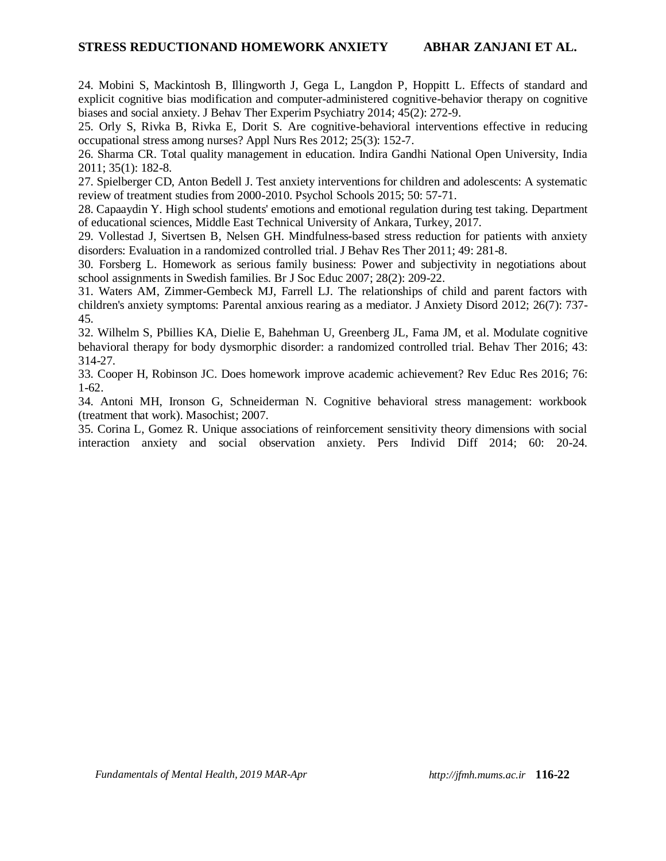## **STRESS REDUCTIONAND HOMEWORK ANXIETY ABHAR ZANJANI ET AL.**

24. Mobini S, Mackintosh B, Illingworth J, Gega L, Langdon P, Hoppitt L. Effects of standard and explicit cognitive bias modification and computer-administered cognitive-behavior therapy on cognitive biases and social anxiety. J Behav Ther Experim Psychiatry 2014; 45(2): 272-9.

25. Orly S, Rivka B, Rivka E, Dorit S. Are cognitive-behavioral interventions effective in reducing occupational stress among nurses? Appl Nurs Res 2012; 25(3): 152-7.

26. Sharma CR. Total quality management in education. Indira Gandhi National Open University, India 2011; 35(1): 182-8.

27. Spielberger CD, Anton Bedell J. Test anxiety interventions for children and adolescents: A systematic review of treatment studies from 2000-2010. Psychol Schools 2015; 50: 57-71.

28. Capaaydin Y. High school students' emotions and emotional regulation during test taking. Department of educational sciences, Middle East Technical University of Ankara, Turkey, 2017.

29. Vollestad J, Sivertsen B, Nelsen GH. Mindfulness-based stress reduction for patients with anxiety disorders: Evaluation in a randomized controlled trial. J Behav Res Ther 2011; 49: 281-8.

30. Forsberg L. Homework as serious family business: Power and subjectivity in negotiations about school assignments in Swedish families. Br J Soc Educ 2007; 28(2): 209-22.

31. Waters AM, Zimmer-Gembeck MJ, Farrell LJ. The relationships of child and parent factors with children's anxiety symptoms: Parental anxious rearing as a mediator. J Anxiety Disord 2012; 26(7): 737- 45.

32. Wilhelm S, Pbillies KA, Dielie E, Bahehman U, Greenberg JL, Fama JM, et al. Modulate cognitive behavioral therapy for body dysmorphic disorder: a randomized controlled trial. Behav Ther 2016; 43: 314-27.

33. Cooper H, Robinson JC. Does homework improve academic achievement? Rev Educ Res 2016; 76: 1-62.

34. Antoni MH, Ironson G, Schneiderman N. Cognitive behavioral stress management: workbook (treatment that work). Masochist; 2007.

35. Corina L, Gomez R. Unique associations of reinforcement sensitivity theory dimensions with social interaction anxiety and social observation anxiety. Pers Individ Diff 2014; 60: 20-24.